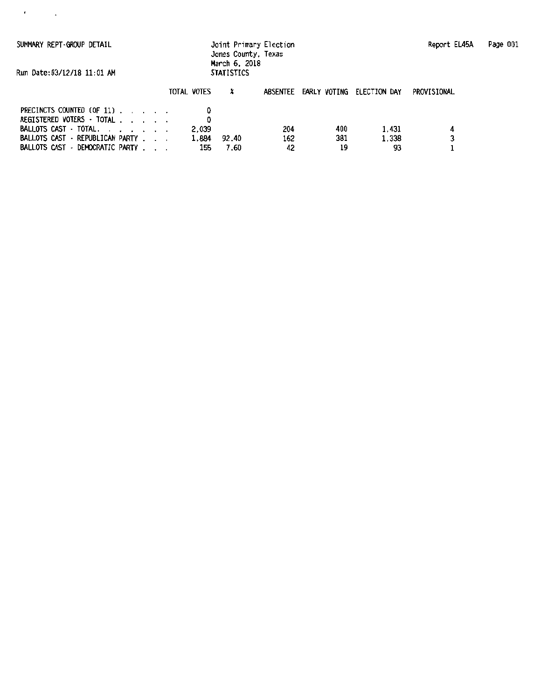$\epsilon_{\rm{max}}=1$ 

SUMMARY REPT -GRCXJP DETAIL Joint Primary Election Report EL45A Page 001 Jones County, Texas March 6, 2018

Run Oate:03/12/18 11:01 AM STATISTICS

|                                                                                      |  |  | TOTAL VOTES  |               |           | ABSENTEE EARLY VOTING ELECTION DAY |             | PROVISIONAL |
|--------------------------------------------------------------------------------------|--|--|--------------|---------------|-----------|------------------------------------|-------------|-------------|
| PRECINCTS COUNTED (OF 11).<br>REGISTERED VOTERS $\cdot$ total<br>BALLOTS CAST TOTAL. |  |  | 2.039        |               | 204       | 400                                | 1.431       |             |
| BALLOTS CAST · REPUBLICAN PARTY<br>BALLOTS CAST - DEMOCRATIC PARTY                   |  |  | 1.884<br>155 | 92.40<br>7.60 | 162<br>42 | 381<br>19                          | 1.338<br>93 |             |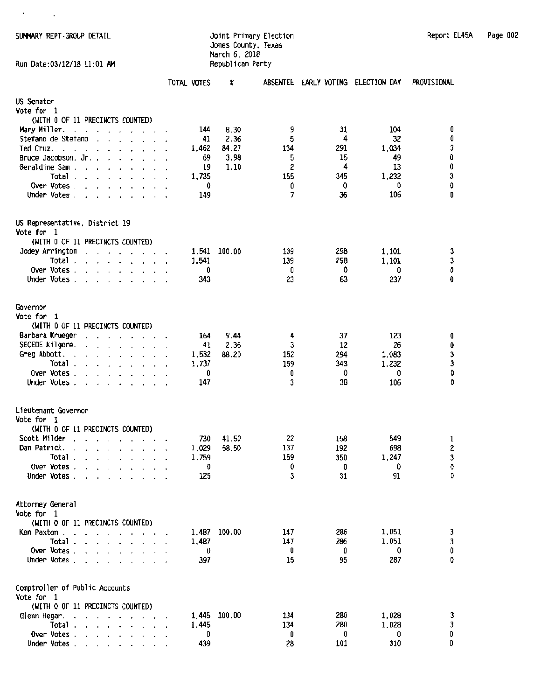SUMMARY REPT -GROUP DETAIL **Joint Primary Election Accommen**t Report EL45A Page 002

 $\mathcal{A}^{\text{max}}_{\text{max}}$ 

### Jones County, Texas March 6, 2018

| Report EL45A | Page 002 |  |
|--------------|----------|--|
|              |          |  |

| Run Date:03/12/18 11:01 AM                                                                                                                                                                                                                |                | Republican Party |            |                                    |             |             |  |
|-------------------------------------------------------------------------------------------------------------------------------------------------------------------------------------------------------------------------------------------|----------------|------------------|------------|------------------------------------|-------------|-------------|--|
|                                                                                                                                                                                                                                           | TOTAL VOTES    | X                |            | ABSENTEE EARLY VOTING ELECTION DAY |             | PROVISIONAL |  |
| US Senator                                                                                                                                                                                                                                |                |                  |            |                                    |             |             |  |
| Vote for 1                                                                                                                                                                                                                                |                |                  |            |                                    |             |             |  |
| (WITH 0 OF 11 PRECINCTS COUNTED)                                                                                                                                                                                                          |                |                  |            |                                    |             |             |  |
| Mary Miller.<br>the contract of the contract of the                                                                                                                                                                                       | 144            | 8.30             | 9          | 31                                 | 104         | 0           |  |
| Stefano de Stefano<br>$\cdot$ $\cdot$ $\cdot$ $\cdot$ $\cdot$ $\cdot$ $\cdot$                                                                                                                                                             | 41             | 2.36             | 5          | 4                                  | 32          | 0           |  |
| Ted Cruz.<br>the contract of the contract of the contract of the contract of the contract of the contract of the contract of                                                                                                              | 1.462          | 84.27            | 134        | 291                                | 1,034       | 3           |  |
| Bruce Jacobson. Jr. .<br>$\cdot$ $\cdot$ $\cdot$ $\cdot$ $\cdot$ $\cdot$<br>Geraldine Sam                                                                                                                                                 | 69<br>19       | 3.98<br>1.10     | 5<br>2     | 15<br>4                            | 49<br>13    | O<br>0      |  |
| Total                                                                                                                                                                                                                                     | 1,735          |                  | 155        | 345                                | 1,232       |             |  |
| Over Votes                                                                                                                                                                                                                                | 0              |                  | 0          | 0                                  | 0           | з<br>0      |  |
| Under Votes                                                                                                                                                                                                                               | 149            |                  | 7          | 36                                 | 106         | 0           |  |
| US Representative, District 19                                                                                                                                                                                                            |                |                  |            |                                    |             |             |  |
| Vote for 1                                                                                                                                                                                                                                |                |                  |            |                                    |             |             |  |
| (WITH 0 OF 11 PRECINCTS COUNTED)                                                                                                                                                                                                          |                |                  |            |                                    |             |             |  |
| Jodey Arrington<br>the contract of the contract of the contract of<br>Total $\ldots$ $\ldots$ $\ldots$                                                                                                                                    | 1,541<br>1,541 | 100.00           | 139<br>139 | 298<br>298                         | 1,101       | 3           |  |
| Over Votes.<br>$\mathbf{r}$ , and $\mathbf{r}$ , and $\mathbf{r}$ , and $\mathbf{r}$                                                                                                                                                      | 0              |                  | 0          | 0                                  | 1,101<br>0  | З<br>0      |  |
| Under Votes                                                                                                                                                                                                                               | 343            |                  | 23         | 83                                 | 237         | 0           |  |
|                                                                                                                                                                                                                                           |                |                  |            |                                    |             |             |  |
| Governor                                                                                                                                                                                                                                  |                |                  |            |                                    |             |             |  |
| Vote for 1                                                                                                                                                                                                                                |                |                  |            |                                    |             |             |  |
| (WITH 0 OF 11 PRECINCTS COUNTED)                                                                                                                                                                                                          |                |                  |            |                                    |             |             |  |
| Barbara Krueger<br>and a strain and a strain and                                                                                                                                                                                          | 164            | 9.44             | 4          | 37                                 | 123         | 0           |  |
| SECEDE Kilgore.<br>$\begin{array}{cccccccccccccccccc} . & . & . & . & . & . & . & . & . & . \end{array}$<br>Greg Abbott.                                                                                                                  | 41             | 2.36<br>88.20    | з<br>152   | 12<br>294                          | 26<br>1,083 | 0           |  |
| $\begin{array}{cccccccccccccc} \bullet & \bullet & \bullet & \bullet & \bullet & \bullet & \bullet & \bullet & \bullet & \bullet & \bullet & \bullet & \bullet \end{array}$<br>$\ddot{\phantom{1}}$<br>Total.<br>and a series of the con- | 1,532<br>1,737 |                  | 159        | 343                                | 1,232       | 3<br>3      |  |
| Over Votes.                                                                                                                                                                                                                               | 0              |                  | 0          | 0                                  | 0           | O           |  |
| Under Votes $\cdots$ $\cdots$ $\cdots$                                                                                                                                                                                                    | 147            |                  | 3          | 38                                 | 106         | Û           |  |
| Lieutenant Governor                                                                                                                                                                                                                       |                |                  |            |                                    |             |             |  |
| Vote for 1                                                                                                                                                                                                                                |                |                  |            |                                    |             |             |  |
| (WITH 0 OF 11 PRECINCTS COUNTED)                                                                                                                                                                                                          |                |                  |            |                                    |             |             |  |
| Scott Milder<br>$\mathbf{r}$ , $\mathbf{r}$ , $\mathbf{r}$ , $\mathbf{r}$ , $\mathbf{r}$                                                                                                                                                  | 730            | 41.50            | 22         | 158                                | 549         | 1           |  |
| Dan Patrick.<br>the contract of the contract of the                                                                                                                                                                                       | 1,029          | 58.50            | 137        | 192                                | 698         | 2           |  |
| Total.                                                                                                                                                                                                                                    | 1,759          |                  | 159        | 350                                | 1,247       | 3           |  |
| Over Votes.                                                                                                                                                                                                                               | O              |                  | 0          | 0                                  | 0           | 0           |  |
| Under Votes                                                                                                                                                                                                                               | 125            |                  | 3          | 31                                 | 91          | 0.          |  |
| Attorney General<br>Vote for 1                                                                                                                                                                                                            |                |                  |            |                                    |             |             |  |
| (WITH 0 OF 11 PRECINCTS COUNTED)                                                                                                                                                                                                          |                |                  |            |                                    |             |             |  |
| Ken Paxton .<br>$\sim$                                                                                                                                                                                                                    |                | 1,487 100.00     | 147        | 286                                | 1,051       | 3           |  |
| Total.<br>$\mathbf{r}$ , and $\mathbf{r}$ , and $\mathbf{r}$ , and $\mathbf{r}$                                                                                                                                                           | 1,487          |                  | 147        | 286                                | 1,051       | 3<br>0      |  |
| Over Votes                                                                                                                                                                                                                                | 0              |                  | 0          | 0                                  | 0           |             |  |
| Under Votes                                                                                                                                                                                                                               | 397            |                  | 15         | 95                                 | 287         | 0           |  |
| Comptroller of Public Accounts<br>Vote for 1                                                                                                                                                                                              |                |                  |            |                                    |             |             |  |
| (WITH 0 OF 11 PRECINCTS COUNTED)                                                                                                                                                                                                          |                |                  |            |                                    |             |             |  |
| Glenn Hegar.<br>the contract of the contract of the contract of<br>$\ddot{\phantom{a}}$                                                                                                                                                   | 1.445          | 100.00           | 134        | 280                                | 1,028       | 3           |  |
| Total                                                                                                                                                                                                                                     | 1,445          |                  | 134        | 280                                | 1,028       | 3           |  |
| Over Votes                                                                                                                                                                                                                                | 0              |                  | 0          | 0                                  | 0           | 0           |  |
| Under Votes                                                                                                                                                                                                                               | 439            |                  | 28         | 101                                | 310         | 0           |  |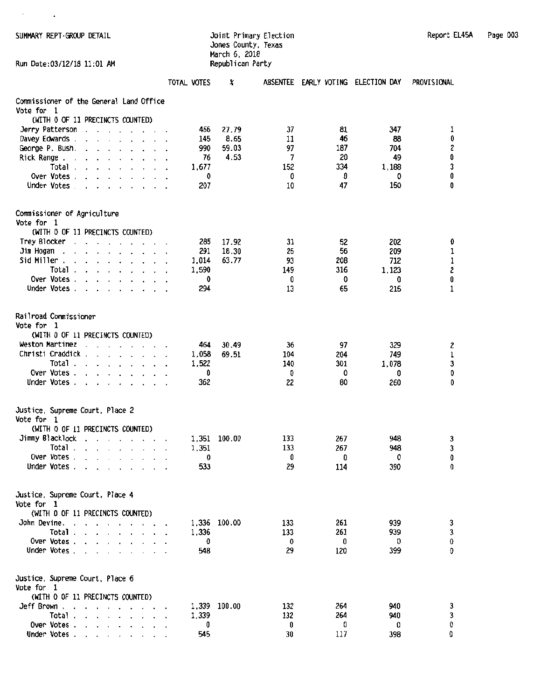$\lambda$  and  $\lambda$ 

## Jones County, Texas March 6, 2018

| SUMMARY REPT-GROUP DETAIL | Joint Primary Election | Report EL45A | Page 003 |
|---------------------------|------------------------|--------------|----------|
|---------------------------|------------------------|--------------|----------|

| TOTAL VOTES<br>X<br>ABSENTEE EARLY VOTING ELECTION DAY<br>Commissioner of the General Land Office<br>Vote for 1<br>(WITH 0 OF 11 PRECINCTS COUNTED)<br>37<br>81<br>466<br>27.79<br>347<br>Jerry Patterson<br>the company of the company of<br>8.65<br>46<br>145<br>11<br>88<br>Davey Edwards.<br>990<br>59.03<br>97<br>187<br>704<br>George P. Bush.<br>$\ddot{\phantom{0}}$<br>20<br>4.53<br>7<br>49<br>Rick Range.<br>76<br>$\overline{\phantom{a}}$<br>$\ddot{\phantom{0}}$<br>152<br>334<br>1,188<br>Total .<br>1.677<br>the contract of the contract of<br>Over Votes .<br>0<br>0<br>0<br>0<br>$\mathbf{r}$ and $\mathbf{r}$ and $\mathbf{r}$<br>150<br>Under Votes.<br>207<br>10<br>47<br>$\mathbf{r}$ , $\mathbf{r}$ , $\mathbf{r}$ , $\mathbf{r}$ , $\mathbf{r}$<br>Commissioner of Agriculture<br>Vote for 1<br>(WITH 0 OF 11 PRECINCTS COUNTED)<br>Trey Blocker<br>17.92<br>285<br>31<br>52<br>202<br>$\overline{\phantom{a}}$<br>$\cdots$<br>$\cdot$<br>Jim Hogan<br>291<br>18.30<br>25<br>56<br>209<br>$\cdot$<br>$\cdot$<br>Sid Miller.<br>1,014<br>63.77<br>93<br>208<br>712<br>$\cdot$<br>$\ddot{\phantom{a}}$<br>$\cdot$ $\cdot$ $\cdot$ $\cdot$ $\cdot$<br>Total.<br>316<br>1,123<br>1,590<br>149<br>$\cdot$ $\cdot$ $\cdot$ $\cdot$ $\cdot$<br>$\mathbf{r}$<br>Over Votes.<br>0<br>0<br>O<br>0<br>$\ddot{\phantom{1}}$<br>Under Votes.<br>294<br>13<br>65<br>215<br>$\cdot$<br>Railroad Commissioner<br>Vote for 1 |                                       |
|--------------------------------------------------------------------------------------------------------------------------------------------------------------------------------------------------------------------------------------------------------------------------------------------------------------------------------------------------------------------------------------------------------------------------------------------------------------------------------------------------------------------------------------------------------------------------------------------------------------------------------------------------------------------------------------------------------------------------------------------------------------------------------------------------------------------------------------------------------------------------------------------------------------------------------------------------------------------------------------------------------------------------------------------------------------------------------------------------------------------------------------------------------------------------------------------------------------------------------------------------------------------------------------------------------------------------------------------------------------------------------------------------------------------------------------|---------------------------------------|
|                                                                                                                                                                                                                                                                                                                                                                                                                                                                                                                                                                                                                                                                                                                                                                                                                                                                                                                                                                                                                                                                                                                                                                                                                                                                                                                                                                                                                                      | PROVISIONAL                           |
|                                                                                                                                                                                                                                                                                                                                                                                                                                                                                                                                                                                                                                                                                                                                                                                                                                                                                                                                                                                                                                                                                                                                                                                                                                                                                                                                                                                                                                      |                                       |
|                                                                                                                                                                                                                                                                                                                                                                                                                                                                                                                                                                                                                                                                                                                                                                                                                                                                                                                                                                                                                                                                                                                                                                                                                                                                                                                                                                                                                                      |                                       |
|                                                                                                                                                                                                                                                                                                                                                                                                                                                                                                                                                                                                                                                                                                                                                                                                                                                                                                                                                                                                                                                                                                                                                                                                                                                                                                                                                                                                                                      | 1                                     |
|                                                                                                                                                                                                                                                                                                                                                                                                                                                                                                                                                                                                                                                                                                                                                                                                                                                                                                                                                                                                                                                                                                                                                                                                                                                                                                                                                                                                                                      | 0                                     |
|                                                                                                                                                                                                                                                                                                                                                                                                                                                                                                                                                                                                                                                                                                                                                                                                                                                                                                                                                                                                                                                                                                                                                                                                                                                                                                                                                                                                                                      | $\begin{matrix} 2 \\ 0 \end{matrix}$  |
|                                                                                                                                                                                                                                                                                                                                                                                                                                                                                                                                                                                                                                                                                                                                                                                                                                                                                                                                                                                                                                                                                                                                                                                                                                                                                                                                                                                                                                      |                                       |
|                                                                                                                                                                                                                                                                                                                                                                                                                                                                                                                                                                                                                                                                                                                                                                                                                                                                                                                                                                                                                                                                                                                                                                                                                                                                                                                                                                                                                                      | 3                                     |
|                                                                                                                                                                                                                                                                                                                                                                                                                                                                                                                                                                                                                                                                                                                                                                                                                                                                                                                                                                                                                                                                                                                                                                                                                                                                                                                                                                                                                                      | 0<br>0                                |
|                                                                                                                                                                                                                                                                                                                                                                                                                                                                                                                                                                                                                                                                                                                                                                                                                                                                                                                                                                                                                                                                                                                                                                                                                                                                                                                                                                                                                                      |                                       |
|                                                                                                                                                                                                                                                                                                                                                                                                                                                                                                                                                                                                                                                                                                                                                                                                                                                                                                                                                                                                                                                                                                                                                                                                                                                                                                                                                                                                                                      |                                       |
|                                                                                                                                                                                                                                                                                                                                                                                                                                                                                                                                                                                                                                                                                                                                                                                                                                                                                                                                                                                                                                                                                                                                                                                                                                                                                                                                                                                                                                      | O                                     |
|                                                                                                                                                                                                                                                                                                                                                                                                                                                                                                                                                                                                                                                                                                                                                                                                                                                                                                                                                                                                                                                                                                                                                                                                                                                                                                                                                                                                                                      | 1                                     |
|                                                                                                                                                                                                                                                                                                                                                                                                                                                                                                                                                                                                                                                                                                                                                                                                                                                                                                                                                                                                                                                                                                                                                                                                                                                                                                                                                                                                                                      | $\begin{array}{c} 1 \\ 2 \end{array}$ |
|                                                                                                                                                                                                                                                                                                                                                                                                                                                                                                                                                                                                                                                                                                                                                                                                                                                                                                                                                                                                                                                                                                                                                                                                                                                                                                                                                                                                                                      |                                       |
|                                                                                                                                                                                                                                                                                                                                                                                                                                                                                                                                                                                                                                                                                                                                                                                                                                                                                                                                                                                                                                                                                                                                                                                                                                                                                                                                                                                                                                      | 0<br>1                                |
|                                                                                                                                                                                                                                                                                                                                                                                                                                                                                                                                                                                                                                                                                                                                                                                                                                                                                                                                                                                                                                                                                                                                                                                                                                                                                                                                                                                                                                      |                                       |
| (WITH 0 OF 11 PRECINCTS COUNTED)<br>Weston Martinez<br>97<br>464<br>30.49                                                                                                                                                                                                                                                                                                                                                                                                                                                                                                                                                                                                                                                                                                                                                                                                                                                                                                                                                                                                                                                                                                                                                                                                                                                                                                                                                            |                                       |
| 329<br>36<br><b>Contract Contract Contract Contract</b><br>$\cdot$<br>Christi Craddick,<br>69.51<br>204<br>1,058<br>104<br>749<br>$\mathbf{r}$ , $\mathbf{r}$ , $\mathbf{r}$ , $\mathbf{r}$ , $\mathbf{r}$                                                                                                                                                                                                                                                                                                                                                                                                                                                                                                                                                                                                                                                                                                                                                                                                                                                                                                                                                                                                                                                                                                                                                                                                                           | 2                                     |
| Total.<br>1,522<br>140<br>301<br>1,078<br>the contract of the contract of the contract of                                                                                                                                                                                                                                                                                                                                                                                                                                                                                                                                                                                                                                                                                                                                                                                                                                                                                                                                                                                                                                                                                                                                                                                                                                                                                                                                            | $\mathbf 1$<br>$\mathbf{3}$           |
| Over Votes.<br>0<br>0<br>0<br>0                                                                                                                                                                                                                                                                                                                                                                                                                                                                                                                                                                                                                                                                                                                                                                                                                                                                                                                                                                                                                                                                                                                                                                                                                                                                                                                                                                                                      | 0                                     |
| Under Votes.<br>362<br>22<br>80<br>260<br>$\ddot{\phantom{0}}$<br>$\cdot$ $\cdot$ $\cdot$ $\cdot$ $\cdot$ $\cdot$                                                                                                                                                                                                                                                                                                                                                                                                                                                                                                                                                                                                                                                                                                                                                                                                                                                                                                                                                                                                                                                                                                                                                                                                                                                                                                                    | 0                                     |
| Justice, Supreme Court, Place 2<br>Vote for 1                                                                                                                                                                                                                                                                                                                                                                                                                                                                                                                                                                                                                                                                                                                                                                                                                                                                                                                                                                                                                                                                                                                                                                                                                                                                                                                                                                                        |                                       |
| (WITH 0 OF 11 PRECINCTS COUNTED)                                                                                                                                                                                                                                                                                                                                                                                                                                                                                                                                                                                                                                                                                                                                                                                                                                                                                                                                                                                                                                                                                                                                                                                                                                                                                                                                                                                                     |                                       |
| Jimmy Blacklock<br>1,351<br>100.00<br>133<br>267<br>948<br>$\mathbf{r}$ , $\mathbf{r}$ , $\mathbf{r}$ , $\mathbf{r}$                                                                                                                                                                                                                                                                                                                                                                                                                                                                                                                                                                                                                                                                                                                                                                                                                                                                                                                                                                                                                                                                                                                                                                                                                                                                                                                 | 3                                     |
| Total.<br>133<br>267<br>1,351<br>948<br>the contract of the con-                                                                                                                                                                                                                                                                                                                                                                                                                                                                                                                                                                                                                                                                                                                                                                                                                                                                                                                                                                                                                                                                                                                                                                                                                                                                                                                                                                     | 3                                     |
| Over Votes<br>0<br>0<br>$\overline{\phantom{a}}$<br>0<br>Under Votes<br>533<br>29<br>390<br>114                                                                                                                                                                                                                                                                                                                                                                                                                                                                                                                                                                                                                                                                                                                                                                                                                                                                                                                                                                                                                                                                                                                                                                                                                                                                                                                                      | 0<br>0                                |
| Justice, Supreme Court, Place 4                                                                                                                                                                                                                                                                                                                                                                                                                                                                                                                                                                                                                                                                                                                                                                                                                                                                                                                                                                                                                                                                                                                                                                                                                                                                                                                                                                                                      |                                       |
| Vote for 1                                                                                                                                                                                                                                                                                                                                                                                                                                                                                                                                                                                                                                                                                                                                                                                                                                                                                                                                                                                                                                                                                                                                                                                                                                                                                                                                                                                                                           |                                       |
| (WITH 0 OF 11 PRECINCTS COUNTED)                                                                                                                                                                                                                                                                                                                                                                                                                                                                                                                                                                                                                                                                                                                                                                                                                                                                                                                                                                                                                                                                                                                                                                                                                                                                                                                                                                                                     |                                       |
| John Devine.<br>1,336 100.00<br>133<br>261<br>939<br>the contract of the contract of the                                                                                                                                                                                                                                                                                                                                                                                                                                                                                                                                                                                                                                                                                                                                                                                                                                                                                                                                                                                                                                                                                                                                                                                                                                                                                                                                             | $\frac{3}{3}$                         |
| Total $\ldots$ $\ldots$ $\ldots$ $\ldots$<br>1,336<br>133<br>261<br>939<br>Over Votes<br>0<br>0<br>0<br>0                                                                                                                                                                                                                                                                                                                                                                                                                                                                                                                                                                                                                                                                                                                                                                                                                                                                                                                                                                                                                                                                                                                                                                                                                                                                                                                            | 0                                     |
| Under Votes<br>548<br>29<br>120<br>399                                                                                                                                                                                                                                                                                                                                                                                                                                                                                                                                                                                                                                                                                                                                                                                                                                                                                                                                                                                                                                                                                                                                                                                                                                                                                                                                                                                               | 0                                     |
| Justice, Supreme Court, Place 6                                                                                                                                                                                                                                                                                                                                                                                                                                                                                                                                                                                                                                                                                                                                                                                                                                                                                                                                                                                                                                                                                                                                                                                                                                                                                                                                                                                                      |                                       |
| Vote for 1                                                                                                                                                                                                                                                                                                                                                                                                                                                                                                                                                                                                                                                                                                                                                                                                                                                                                                                                                                                                                                                                                                                                                                                                                                                                                                                                                                                                                           |                                       |
| (WITH 0 OF 11 PRECINCTS COUNTED)<br>Jeff Brown .<br>132<br>264<br>940                                                                                                                                                                                                                                                                                                                                                                                                                                                                                                                                                                                                                                                                                                                                                                                                                                                                                                                                                                                                                                                                                                                                                                                                                                                                                                                                                                |                                       |
| 1,339 100.00<br>$\overline{\phantom{a}}$<br>$\cdot$ , , , , , , , ,<br>Total.<br>132<br>264<br>940<br>1,339<br>$\mathbf{r}$ , and $\mathbf{r}$ , and $\mathbf{r}$ , and $\mathbf{r}$                                                                                                                                                                                                                                                                                                                                                                                                                                                                                                                                                                                                                                                                                                                                                                                                                                                                                                                                                                                                                                                                                                                                                                                                                                                 | 3<br>3                                |
| Over Votes $\cdots$ $\cdots$ $\cdots$<br>0<br>0<br>0<br>O                                                                                                                                                                                                                                                                                                                                                                                                                                                                                                                                                                                                                                                                                                                                                                                                                                                                                                                                                                                                                                                                                                                                                                                                                                                                                                                                                                            | O                                     |
| Under Votes.<br>545<br>30<br>117<br>398                                                                                                                                                                                                                                                                                                                                                                                                                                                                                                                                                                                                                                                                                                                                                                                                                                                                                                                                                                                                                                                                                                                                                                                                                                                                                                                                                                                              | 0                                     |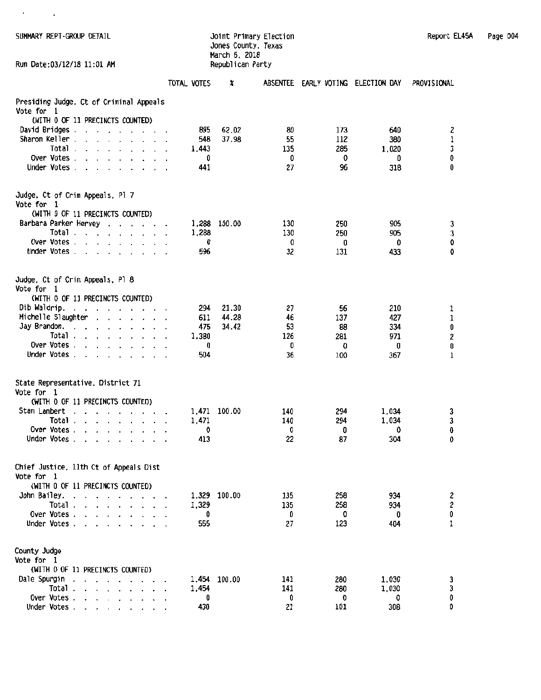|  |  | SUMMARY REPT-GROUP DETAIL |  |
|--|--|---------------------------|--|
|--|--|---------------------------|--|

 $\mathcal{F}^{\mathcal{G}}_{\mathcal{G}}$  ,  $\mathcal{G}^{\mathcal{G}}_{\mathcal{G}}$ 

### SUHHARY REPT -GROOP DETAIL Joint Primary Election Report EL45A Page 004 Jones County, Texas March 6. 2018

| Run Date:03/12/18 11:01 AM                                                                                                                                                                                                                                                                                                      |                | Republican Party |            |                                    |            |                  |  |
|---------------------------------------------------------------------------------------------------------------------------------------------------------------------------------------------------------------------------------------------------------------------------------------------------------------------------------|----------------|------------------|------------|------------------------------------|------------|------------------|--|
|                                                                                                                                                                                                                                                                                                                                 | TOTAL VOTES    | X                |            | ABSENTEE EARLY VOTING ELECTION DAY |            | PROVISIONAL      |  |
| Presiding Judge, Ct of Criminal Appeals                                                                                                                                                                                                                                                                                         |                |                  |            |                                    |            |                  |  |
| Vote for 1<br>(WITH 0 OF 11 PRECINCTS COUNTED)                                                                                                                                                                                                                                                                                  |                |                  |            |                                    |            |                  |  |
| David Bridges .                                                                                                                                                                                                                                                                                                                 | 895            | 62.02            | 80         | 173                                | 640        |                  |  |
| $\mathbf{v}$ and $\mathbf{v}$ are the set of the set of the set of the set of the set of the set of the set of the set of the set of the set of the set of the set of the set of the set of the set of the set of the set of the set<br>Sharon Keller.<br>$\mathbf{r}$ , and $\mathbf{r}$ , and $\mathbf{r}$ , and $\mathbf{r}$ | 548            | 37.98            | 55         | 112                                | 380        | 2<br>$\mathbf 1$ |  |
| Total.<br>$\mathbf{r}$ , and $\mathbf{r}$ , and $\mathbf{r}$ , and $\mathbf{r}$                                                                                                                                                                                                                                                 | 1.443          |                  | 135        | 285                                | 1,020      | 3                |  |
| Over Votes.                                                                                                                                                                                                                                                                                                                     | 0              |                  | 0          | 0                                  | 0          | 0                |  |
| Under Votes                                                                                                                                                                                                                                                                                                                     | 441            |                  | 27         | 96                                 | 318        | 0                |  |
| Judge, Ct of Crim Appeals, Pl 7<br>Vote for 1                                                                                                                                                                                                                                                                                   |                |                  |            |                                    |            |                  |  |
| (WITH 0 OF 11 PRECINCTS COUNTED)                                                                                                                                                                                                                                                                                                |                |                  |            |                                    |            |                  |  |
| Barbara Parker Hervey<br>Total                                                                                                                                                                                                                                                                                                  | 1,288<br>1,288 | 100.00           | 130<br>130 | 250<br>250                         | 905<br>905 | 3<br>$\mathbf 3$ |  |
| Over Votes                                                                                                                                                                                                                                                                                                                      | 0              |                  | 0          | 0                                  | 0          | 0                |  |
| Under Votes                                                                                                                                                                                                                                                                                                                     | 596            |                  | 32         | 131                                | 433        | 0                |  |
|                                                                                                                                                                                                                                                                                                                                 |                |                  |            |                                    |            |                  |  |
| Judge, Ct of Crim Appeals, Pl 8<br>Vote for 1                                                                                                                                                                                                                                                                                   |                |                  |            |                                    |            |                  |  |
| (WITH 0 OF 11 PRECINCTS COUNTED)                                                                                                                                                                                                                                                                                                |                |                  |            |                                    |            |                  |  |
| Dib Waldrip.<br>a construction of the construction                                                                                                                                                                                                                                                                              | 294            | 21.30            | 27         | 56                                 | 210        | 1                |  |
| Michelle Slaughter                                                                                                                                                                                                                                                                                                              | 611            | 44.28            | 46         | 137                                | 427        | $\mathbf 1$      |  |
| Jay Brandon.<br>$\cdot$ $\cdot$<br>the contract of the contract of                                                                                                                                                                                                                                                              | 475            | 34.42            | 53         | 88                                 | 334        | $\pmb{0}$        |  |
| Total $\ldots$ $\ldots$ $\ldots$ $\ldots$<br>Over Votes                                                                                                                                                                                                                                                                         | 1,380          |                  | 126        | 281                                | 971        | 2                |  |
| Under Votes                                                                                                                                                                                                                                                                                                                     | 0<br>504       |                  | 0<br>36    | O<br>100                           | 0<br>367   | 0<br>1           |  |
| State Representative, District 71<br>Vote for 1<br>(WITH 0 OF 11 PRECINCTS COUNTED)                                                                                                                                                                                                                                             |                |                  |            |                                    |            |                  |  |
| Stan Lambert                                                                                                                                                                                                                                                                                                                    | 1,471          | 100.00           | 140        | 294                                | 1,034      |                  |  |
| the contract of the contract of the contract of the contract of the contract of the contract of the contract of<br>Total                                                                                                                                                                                                        | 1,471          |                  | 140        | 294                                | 1,034      | 3<br>3           |  |
| Over Votes.<br>the contract of the contract of                                                                                                                                                                                                                                                                                  | 0              |                  | 0          | 0                                  | 0          | 0                |  |
| Under Votes                                                                                                                                                                                                                                                                                                                     | 413            |                  | 22         | 87                                 | 304        | 0                |  |
| Chief Justice, 11th Ct of Appeals Dist<br>Vote for 1                                                                                                                                                                                                                                                                            |                |                  |            |                                    |            |                  |  |
| (WITH 0 OF 11 PRECINCTS COUNTED)                                                                                                                                                                                                                                                                                                |                |                  |            |                                    |            |                  |  |
| John Bailey.                                                                                                                                                                                                                                                                                                                    |                | 1,329 100.00     | 135        | 258                                | 934        | 2                |  |
| Total $\cdots$ $\cdots$ $\cdots$                                                                                                                                                                                                                                                                                                | 1,329          |                  | 135        | 258                                | 934        | 2                |  |
| Over Votes                                                                                                                                                                                                                                                                                                                      | 0              |                  | 0          | 0                                  | 0          | 0                |  |
| Under Votes                                                                                                                                                                                                                                                                                                                     | 555            |                  | 27         | 123                                | 404        | 1                |  |
| County Judge<br>Vote for 1<br>(WITH 0 OF 11 PRECINCTS COUNTED)                                                                                                                                                                                                                                                                  |                |                  |            |                                    |            |                  |  |
| Dale Spurgin                                                                                                                                                                                                                                                                                                                    | 1,454          | 100.00           | 141        | 280                                | 1,030      | 3                |  |
| Total .<br>$\mathbf{r}$ , $\mathbf{r}$ , $\mathbf{r}$ , $\mathbf{r}$ , $\mathbf{r}$ , $\mathbf{r}$                                                                                                                                                                                                                              | 1,454          |                  | 141        | 280                                | 1,030      | 3                |  |
| Over Votes                                                                                                                                                                                                                                                                                                                      | 0              |                  | 0          | $\boldsymbol{0}$                   | 0          | 0                |  |
| Under Votes                                                                                                                                                                                                                                                                                                                     | 430            |                  | 21         | 101                                | 308        | O                |  |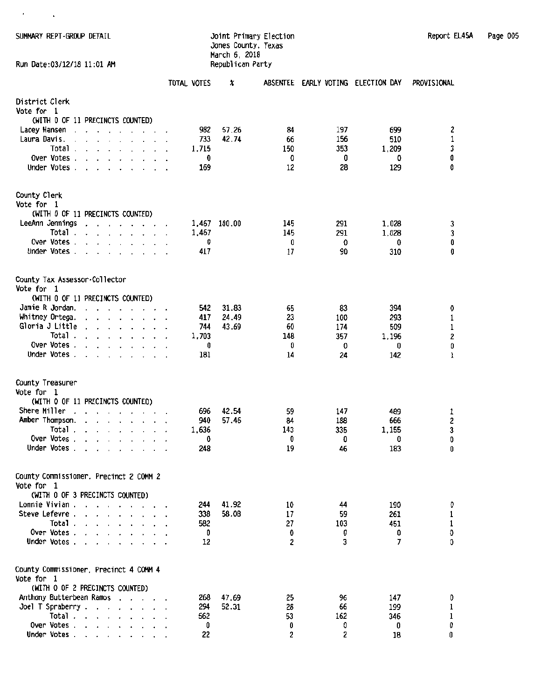SUMMARY REPT-GROUP DETAIL

 $\epsilon = -1$ 

### Jones County, Texas March 6, 2018 Run Date:03/12/18 11:01 AM Republican Party

| Report EL45A | Page 005 |  |
|--------------|----------|--|
|--------------|----------|--|

|                                                                                                                                                  | TOTAL VOTES | X              |          | ABSENTEE EARLY VOTING ELECTION DAY |            | PROVISIONAL |
|--------------------------------------------------------------------------------------------------------------------------------------------------|-------------|----------------|----------|------------------------------------|------------|-------------|
| District Clerk<br>Vote for 1<br>(WITH 0 OF 11 PRECINCTS COUNTED)                                                                                 |             |                |          |                                    |            |             |
| Lacey Hansen<br>the company of the company of the<br>$\cdot$                                                                                     | 982         | 57.26          | 84       | 197                                | 699        | 2           |
| Laura Davis.<br>and a state of the state of the<br>$\sim$                                                                                        | 733         | 42.74          | 66       | 156                                | 510        | 1           |
| Total .<br>the contract of the contract of the                                                                                                   | 1.715       |                | 150      | 353                                | 1,209      | 3           |
| Over Votes.<br>Under Votes                                                                                                                       | 0<br>169    |                | 0<br>12  | 0<br>28                            | 0<br>129   | 0<br>0      |
|                                                                                                                                                  |             |                |          |                                    |            |             |
| County Clerk                                                                                                                                     |             |                |          |                                    |            |             |
| Vote for 1                                                                                                                                       |             |                |          |                                    |            |             |
| (WITH 0 OF 11 PRECINCTS COUNTED)<br>LeeAnn Jennings                                                                                              | 1,467       | 100.00         | 145      | 291                                | 1,028      | 3           |
| the company of the company of the<br>Total.<br>$\mathbf{r}$ , and $\mathbf{r}$ , and $\mathbf{r}$ , and $\mathbf{r}$                             | 1,467       |                | 145      | 291                                | 1.028      | 3           |
| Over Votes                                                                                                                                       | 0           |                | 0        | 0                                  | 0          | 0           |
| Under Votes                                                                                                                                      | 417         |                | 17       | 90                                 | 310        | 0           |
| County Tax Assessor-Collector                                                                                                                    |             |                |          |                                    |            |             |
| Vote for 1                                                                                                                                       |             |                |          |                                    |            |             |
| (WITH 0 OF 11 PRECINCTS COUNTED)                                                                                                                 |             |                |          |                                    |            |             |
| Jamie R Jordan.<br>and a strain and a strain and a<br>Whitney Ortega.                                                                            | 542<br>417  | 31.83<br>24.49 | 65       | 83<br>100                          | 394        | 0           |
| $\cdot$ $\cdot$ $\cdot$ $\cdot$ $\cdot$ $\cdot$ $\cdot$<br>Gloria J Little<br>$\cdot$ $\cdot$ $\cdot$ $\cdot$ $\cdot$ $\cdot$ $\cdot$<br>$\cdot$ | 744         | 43.69          | 23<br>60 | 174                                | 293<br>509 | 1<br>1      |
| Total .<br>$\begin{array}{cccccccccccccccccc} . & . & . & . & . & . & . & . & . & . \end{array}$                                                 | 1,703       |                | 148      | 357                                | 1,196      | 2           |
| Over Votes.                                                                                                                                      | 0           |                | 0        | 0                                  | 0          | 0           |
| Under Votes.                                                                                                                                     | 181         |                | 14       | 24                                 | 142        | 1           |
| County Treasurer<br>Vote for 1<br>(WITH 0 OF 11 PRECINCTS COUNTED)                                                                               |             |                |          |                                    |            |             |
| Shere Miller<br>and a state of the state of the                                                                                                  | 696         | 42.54          | 59       | 147                                | 489        | 1           |
| Amber Thompson.<br>and a series and a series of                                                                                                  | 940         | 57.46          | 84       | 188                                | 666        | 2           |
| Total                                                                                                                                            | 1.636       |                | 143      | 335                                | 1,155      | 3           |
| Over Votes, , , , , , , , ,                                                                                                                      | 0           |                | 0        | O                                  | 0          | 0           |
| Under Votes.<br>$\sim$ $\sim$                                                                                                                    | 248         |                | 19       | 46                                 | 183        | 0           |
| County Commissioner, Precinct 2 COMM 2<br>Vote for 1                                                                                             |             |                |          |                                    |            |             |
| (WITH 0 OF 3 PRECINCTS COUNTED)                                                                                                                  |             |                |          |                                    |            |             |
| Lonnie Vivian<br>Steve Lefevre                                                                                                                   | 244<br>338  | 41.92<br>58.08 | 10<br>17 | 44<br>59                           | 190<br>261 | Đ<br>1      |
| Total $\ldots$ $\ldots$ $\ldots$                                                                                                                 | 582         |                | 27       | 103                                | 451        | 1           |
| Over Votes                                                                                                                                       | 0           |                | O        | 0                                  | 0          | O           |
| Under Votes                                                                                                                                      | 12          |                | 2        | 3                                  | 7          | 0           |
| County Commissioner, Precinct 4 COMM 4<br>Vote for 1                                                                                             |             |                |          |                                    |            |             |
| (WITH 0 OF 2 PRECINCTS COUNTED)                                                                                                                  |             |                |          |                                    |            |             |
| Anthony Butterbean Ramos                                                                                                                         | 268         | 47.69          | 25       | 96                                 | 147        | 0           |
| Joel T Spraberry .<br>$\mathbf{r}$ , $\mathbf{r}$ , $\mathbf{r}$ , $\mathbf{r}$ , $\mathbf{r}$                                                   | 294         | 52.31          | 28       | 66                                 | 199        | 1           |
| Total $\ldots$ $\ldots$ $\ldots$ $\ldots$<br>Over Votes                                                                                          | 562         |                | 53       | 162                                | 346        | 1           |
| Under Votes                                                                                                                                      | 0<br>22     |                | 0<br>2   | 0<br>2                             | 0<br>18    | 0<br>0      |
|                                                                                                                                                  |             |                |          |                                    |            |             |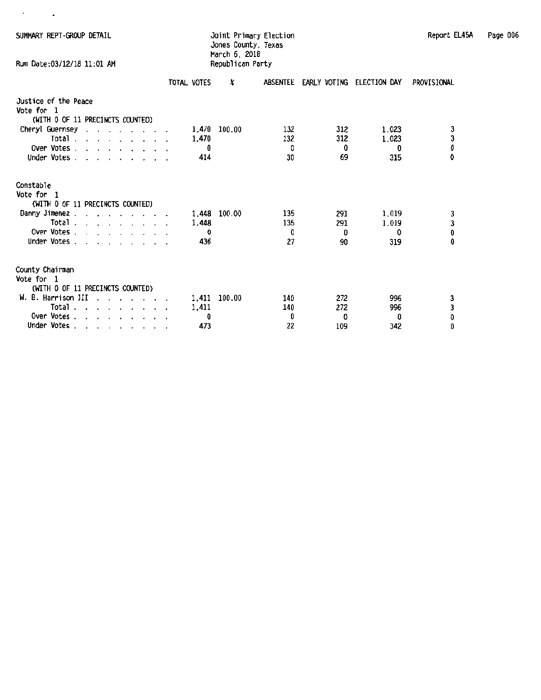$\epsilon = 1/2$ 

Run Date:03/12/18 11:01 AM

# Jones County, Texas March 6. 2018

|                                                                                                                            | TOTAL VOTES | x      | ABSENTEE | EARLY VOTING | ELECTION DAY | PROVISIONAL |
|----------------------------------------------------------------------------------------------------------------------------|-------------|--------|----------|--------------|--------------|-------------|
| Justice of the Peace<br>Vote for 1<br>(WITH 0 OF 11 PRECINCTS COUNTED)                                                     |             |        |          |              |              |             |
| Cheryl Guernsey<br>$\mathbf{r}$<br>$\cdot$ $\cdot$<br>$\overline{\phantom{a}}$<br>$\cdots$                                 | 1,470       | 100.00 | 132      | 312          | 1,023        | з           |
| Total .<br>$\mathbf{r}$ and $\mathbf{r}$ and $\mathbf{r}$ and $\mathbf{r}$ and $\mathbf{r}$                                | 1,470       |        | 132      | 312          | 1,023        | 3           |
| Over Votes.<br>and a series and a series of the                                                                            | 0           |        | 0        | Û            | Ð            | 0           |
| Under Votes.<br>$\cdot$ $\cdot$ $\cdot$ $\cdot$                                                                            | 414         |        | 30       | 69           | 315          | 0           |
| Constable                                                                                                                  |             |        |          |              |              |             |
| Vote for 1                                                                                                                 |             |        |          |              |              |             |
| (WITH 0 OF 11 PRECINCTS COUNTED)                                                                                           |             |        |          |              |              |             |
| Danny Jimenez.                                                                                                             | 1,448       | 100.00 | 135      | 291          | 1,019        | 3           |
| Total .<br>the contract of the contract of the contract of the contract of the contract of the contract of the contract of | 1,448       |        | 135      | 291          | 1,019        | 3           |
| Over Votes.<br>$\cdot$ $\cdot$ $\cdot$ $\cdot$ $\cdot$                                                                     | Ð           |        | O        | 0            | 0            | 0           |
| Under Votes.<br>$\sim$ $\sim$ $\sim$ $\sim$                                                                                | 436         |        | 27       | 90           | 319          | û           |
| County Chairman<br>Vote for 1<br>(WITH 0 OF 11 PRECINCTS COUNTED)                                                          |             |        |          |              |              |             |
| W. B. Harrison III                                                                                                         | 1.411       | 100.00 | 140      | 272          | 996          |             |
| Total .<br>$\cdot$ $\cdot$ $\cdot$                                                                                         | 1,411       |        | 140      | 272          | 996          | 3<br>3      |
| Over Votes.                                                                                                                | 0           |        | 0        | 0            | û            | O           |
| Under Votes.<br>the contract of the contract of the                                                                        | 473         |        | 22       | 109          | 342          | 0           |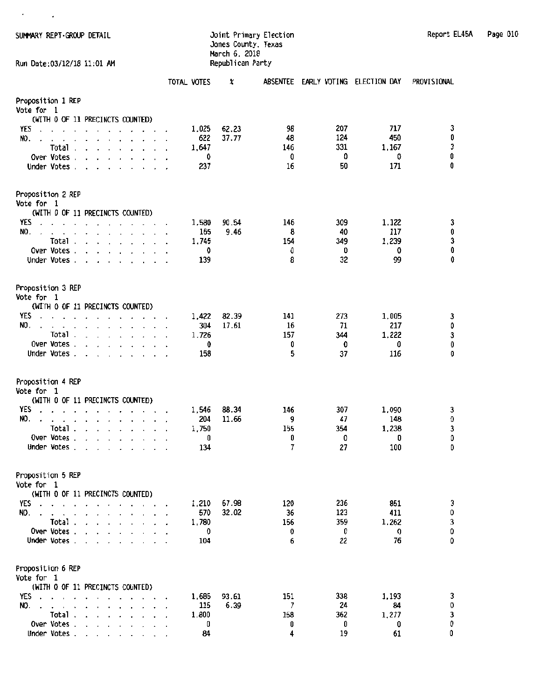$\epsilon = 1/2$ 

### Jones County, Texas March 6, 2018 Run Date:03/12/18 11:01 AM Republican Party

|                                                                                                                                                                                                                                                                        | TOTAL VOTES  | X             | <b>ABSENTEE</b> | EARLY VOTING ELECTION DAY |              | PROVISIONAL                                       |
|------------------------------------------------------------------------------------------------------------------------------------------------------------------------------------------------------------------------------------------------------------------------|--------------|---------------|-----------------|---------------------------|--------------|---------------------------------------------------|
| Proposition 1 REP                                                                                                                                                                                                                                                      |              |               |                 |                           |              |                                                   |
| <b>Vote for 1</b><br>(WITH 0 OF 11 PRECINCTS COUNTED)                                                                                                                                                                                                                  |              |               |                 |                           |              |                                                   |
| YES                                                                                                                                                                                                                                                                    | 1,025        | 62.23         | 98              | 207                       | 717          | 3                                                 |
| NO.                                                                                                                                                                                                                                                                    | 622          | 37.77         | 48              | 124                       | 450          | 0                                                 |
| <b>Total</b><br>and a series of the                                                                                                                                                                                                                                    | 1,647        |               | 146             | 331                       | 1,167        | 3                                                 |
| Over Votes.                                                                                                                                                                                                                                                            | 0            |               | 0               | O                         | 0            | 0                                                 |
| Under Votes.<br>$\sim$<br>$\cdot$                                                                                                                                                                                                                                      | 237          |               | 16              | 50                        | 171          | 0                                                 |
| Proposition 2 REP                                                                                                                                                                                                                                                      |              |               |                 |                           |              |                                                   |
| Vote for 1                                                                                                                                                                                                                                                             |              |               |                 |                           |              |                                                   |
| (WITH 0 OF 11 PRECINCTS COUNTED)<br>YES                                                                                                                                                                                                                                |              |               |                 | 309                       |              |                                                   |
| $\sim$<br>NO.<br>$\ddot{\phantom{a}}$                                                                                                                                                                                                                                  | 1,580<br>165 | 90.54<br>9.46 | 146<br>8        | 40                        | 1,122<br>117 | 3<br>0                                            |
| Total.<br>$\mathbf{r}$ and $\mathbf{r}$ and $\mathbf{r}$ and $\mathbf{r}$                                                                                                                                                                                              | 1,745        |               | 154             | 349                       | 1,239        |                                                   |
| Over Votes.<br>$\mathbf{r}$ and $\mathbf{r}$ and $\mathbf{r}$<br>$\ddot{\phantom{0}}$                                                                                                                                                                                  | 0            |               | O               | 0                         | 0            | 3<br>0                                            |
| Under Votes<br>$\cdot$<br>$\cdot$ $\cdot$ $\cdot$                                                                                                                                                                                                                      | 139          |               | 8               | 32                        | 99           | 0                                                 |
| Proposition 3 REP<br>Vote for 1                                                                                                                                                                                                                                        |              |               |                 |                           |              |                                                   |
| (WITH 0 OF 11 PRECINCTS COUNTED)                                                                                                                                                                                                                                       |              |               |                 |                           |              |                                                   |
| YES.<br>$\sim$<br>$\sim$ 10 $\mu$<br>$\mathbf{r}$ . The contract of the contract of the contract of the contract of the contract of the contract of the contract of the contract of the contract of the contract of the contract of the contract of the contract of th | 1,422        | 82.39         | 141             | 273                       | 1,005        |                                                   |
| NO.<br>$\cdot$ $\cdot$ $\cdot$ $\cdot$ $\cdot$ $\cdot$ $\cdot$<br>$\mathbf{r}$<br>$\sim$                                                                                                                                                                               | 304          | 17.61         | 16              | 71                        | 217          | $\begin{smallmatrix} 3 \ 0 \ 3 \end{smallmatrix}$ |
| Total.<br>$\mathbf{r}$                                                                                                                                                                                                                                                 | 1,726        |               | 157             | 344                       | 1.222        | $\pmb{0}$                                         |
| Over Votes.<br>Under Votes.                                                                                                                                                                                                                                            | 0<br>158     |               | 0<br>5          | 0<br>37                   | 0<br>116     | 0                                                 |
|                                                                                                                                                                                                                                                                        |              |               |                 |                           |              |                                                   |
| Proposition 4 REP<br>Vote for 1                                                                                                                                                                                                                                        |              |               |                 |                           |              |                                                   |
| (WITH 0 OF 11 PRECINCTS COUNTED)                                                                                                                                                                                                                                       |              |               |                 |                           |              |                                                   |
| YES<br>$\cdot$ $\cdot$ $\cdot$ $\cdot$ $\cdot$ $\cdot$ $\cdot$<br>$\ddot{\phantom{a}}$<br>$\ddot{\phantom{1}}$                                                                                                                                                         | 1,546        | 88.34         | 146             | 307                       | 1,090        | 3                                                 |
| NO.<br>$\overline{\phantom{a}}$<br>$\ddot{\phantom{0}}$<br>$\ddot{\phantom{1}}$<br>$\sim$<br>$\blacksquare$                                                                                                                                                            | 204          | 11.66         | 9               | 47                        | 148          | O                                                 |
| Total .<br>$\mathbf{r}$ , $\mathbf{r}$ , $\mathbf{r}$ , $\mathbf{r}$                                                                                                                                                                                                   | 1,750        |               | 155             | 354                       | 1,238        | 3                                                 |
| Over Votes.<br>$\mathbf{r}$ . The contract of the contract of the contract of the contract of the contract of the contract of the contract of the contract of the contract of the contract of the contract of the contract of the contract of th<br>$\cdot$            | 0            |               | 0               | 0                         | 0            | O                                                 |
| Under Votes.<br>$\cdot$ $\cdot$ $\cdot$ $\cdot$                                                                                                                                                                                                                        | 134          |               | 7               | 27                        | 100          | Û                                                 |
| Proposition 5 REP<br>Vote for 1                                                                                                                                                                                                                                        |              |               |                 |                           |              |                                                   |
| (WITH 0 OF 11 PRECINCTS COUNTED)                                                                                                                                                                                                                                       |              |               |                 |                           |              |                                                   |
| YES<br>$\sim$ $\sim$<br>$\cdot$                                                                                                                                                                                                                                        | 1,210        | 67.98         | 120             | 236                       | 851          | 3                                                 |
| NO.                                                                                                                                                                                                                                                                    | 570          | 32.02         | 36              | 123                       | 411          | $\begin{smallmatrix}0\3\0\end{smallmatrix}$       |
| Total.<br>$\mathbf{r}$ and $\mathbf{r}$ and $\mathbf{r}$ and $\mathbf{r}$<br>Over Votes .                                                                                                                                                                              | 1,780<br>0   |               | 156<br>0        | 359<br>0                  | 1,262<br>0   |                                                   |
| and a state<br>$\cdot$<br>$\mathbf{r}$<br>Under Votes.<br><b>Service Control</b>                                                                                                                                                                                       | 104          |               | 6               | 22                        | 76           | 0                                                 |
| Proposition 6 REP<br>Vote for 1                                                                                                                                                                                                                                        |              |               |                 |                           |              |                                                   |
| (WITH 0 OF 11 PRECINCTS COUNTED)<br>YES.                                                                                                                                                                                                                               | 1,685        | 93.61         | 151             | 338                       | 1,193        |                                                   |
| $\mathbf{r}$ , and $\mathbf{r}$ , and $\mathbf{r}$ , and $\mathbf{r}$<br>NO.                                                                                                                                                                                           | 115          | 6.39          | 7               | 24                        | 84           | 3<br>0                                            |
| Total                                                                                                                                                                                                                                                                  | 1,800        |               | 158             | 362                       | 1,277        | 3                                                 |
| Over Votes                                                                                                                                                                                                                                                             | 0            |               | 0               | 0                         | 0            | 0                                                 |
| Under Votes                                                                                                                                                                                                                                                            | 84           |               | 4               | 19                        | 61           | 0                                                 |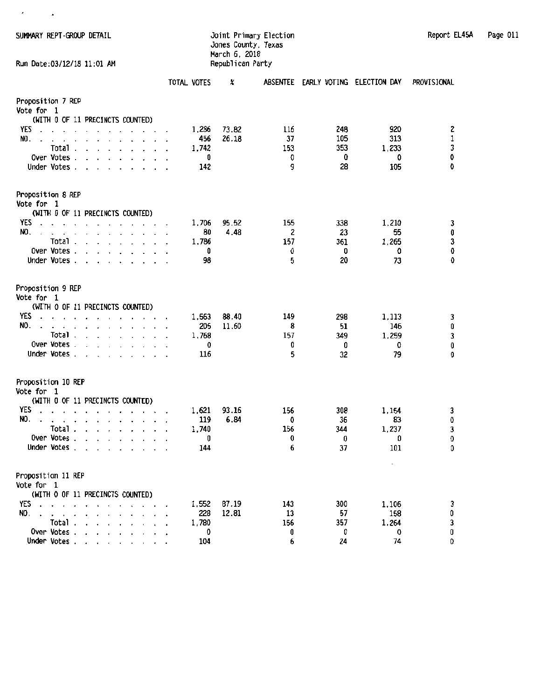SUMMARY REPT-GROUP DETAIL Joint Primary Election Report EL45A Page 011

 $\epsilon = 1/2$ 

Run Date: 03/12/18 11:01 AM

## Jones County, Texas March 6, 2018

|                                                                                                                                                                                                                                                                                                                                                                                                                                                                                                                            | TOTAL VOTES                       | X              |                            | ABSENTEE EARLY VOTING ELECTION DAY |                                                           | PROVISIONAL                     |
|----------------------------------------------------------------------------------------------------------------------------------------------------------------------------------------------------------------------------------------------------------------------------------------------------------------------------------------------------------------------------------------------------------------------------------------------------------------------------------------------------------------------------|-----------------------------------|----------------|----------------------------|------------------------------------|-----------------------------------------------------------|---------------------------------|
| Proposition 7 REP<br>Vote for 1<br>(WITH 0 OF 11 PRECINCTS COUNTED)                                                                                                                                                                                                                                                                                                                                                                                                                                                        |                                   |                |                            |                                    |                                                           |                                 |
| <b>YES</b><br>$\cdot$<br>NO.<br>$\cdot$ $\cdot$<br>$\overline{a}$<br>$\sim$<br>$\Delta$<br>Total .<br>$\mathbf{r}$ . The contract of the contract of the contract of the contract of the contract of the contract of the contract of the contract of the contract of the contract of the contract of the contract of the contract of th<br>Over Votes.<br>$\mathbf{r}$ and $\mathbf{r}$<br>$\begin{array}{cccccccccccccc} \bullet & \bullet & \bullet & \bullet & \bullet & \bullet & \bullet \end{array}$<br>Under Votes. | 1.286<br>456<br>1,742<br>0<br>142 | 73.82<br>26.18 | 116<br>37<br>153<br>O<br>g | 248<br>105<br>353<br>0<br>28       | 920<br>313<br>1,233<br>0<br>105                           | 2<br>$\mathbf 1$<br>3<br>0<br>0 |
| Proposition 8 REP<br>Vote for 1                                                                                                                                                                                                                                                                                                                                                                                                                                                                                            |                                   |                |                            |                                    |                                                           |                                 |
| (WITH 0 OF 11 PRECINCTS COUNTED)<br>YES<br>$\overline{\phantom{a}}$<br>$\blacksquare$<br>NO.<br>.<br>Total.<br>and a series of<br>Over Votes.<br>$\mathbf{r}$<br>Under Votes<br>$\sim$<br>$\cdot$ $\cdot$                                                                                                                                                                                                                                                                                                                  | 1.706<br>80<br>1,786<br>0<br>98   | 95.52<br>4.48  | 155<br>2<br>157<br>0<br>5  | 338<br>23<br>361<br>0<br>20        | 1,210<br>55<br>1,265<br>0<br>73                           | 3<br>0<br>3<br>0<br>0           |
| Proposition 9 REP<br>Vote for 1<br>(WITH 0 OF 11 PRECINCTS COUNTED)                                                                                                                                                                                                                                                                                                                                                                                                                                                        |                                   |                |                            |                                    |                                                           |                                 |
| YES<br>design a state of the contract of the<br>$\ddot{\phantom{a}}$<br>NO.<br>the contract of the contract of the contract of the contract of the contract of the contract of the contract of<br>$\ddot{\phantom{a}}$<br>Total.<br>and a strain and a strain and<br>Over Votes.<br>$\mathbf{r}$ , and $\mathbf{r}$ , and $\mathbf{r}$ , and $\mathbf{r}$<br>Under Votes<br>$\ddot{\phantom{0}}$<br>$\cdot$                                                                                                                | 1,563<br>205<br>1,768<br>0<br>116 | 88,40<br>11.60 | 149<br>8<br>157<br>0<br>5  | 298<br>51<br>349<br>0<br>32        | 1,113<br>146<br>1,259<br>0<br>79                          | 3<br>0<br>3<br>0<br>0           |
| Proposition 10 REP<br>Vote for 1                                                                                                                                                                                                                                                                                                                                                                                                                                                                                           |                                   |                |                            |                                    |                                                           |                                 |
| (WITH 0 OF 11 PRECINCTS COUNTED)<br>YES<br>$\cdot$<br>NO.<br>$\ddot{\phantom{a}}$<br>$\ddot{\phantom{a}}$<br>Total.<br>and a series and<br>Over Votes.<br>Under Votes.                                                                                                                                                                                                                                                                                                                                                     | 1,621<br>119<br>1,740<br>0<br>144 | 93.16<br>6.84  | 156<br>0<br>156<br>0<br>6  | 308<br>36<br>344<br>0<br>37        | 1,154<br>83<br>1,237<br>O<br>101<br>$\tilde{\phantom{a}}$ | 3<br>0<br>3<br>0<br>0           |
| Proposition 11 REP<br>Vote for 1<br>(WITH 0 OF 11 PRECINCTS COUNTED)                                                                                                                                                                                                                                                                                                                                                                                                                                                       |                                   |                |                            |                                    |                                                           |                                 |
| YES<br>NO.<br>$\cdots$<br>$\overline{a}$<br>$\mathbf{r}$<br>Total.<br>Over Votes.<br>Under Votes.<br>$\sim$<br>$\overline{\phantom{a}}$<br>$\sim$                                                                                                                                                                                                                                                                                                                                                                          | 1,552<br>228<br>1,780<br>0<br>104 | 87.19<br>12.81 | 143<br>13<br>156<br>0<br>6 | 300<br>57<br>357<br>0<br>24        | 1,106<br>158<br>1,264<br>0<br>74                          | 3<br>0<br>3<br>0<br>0           |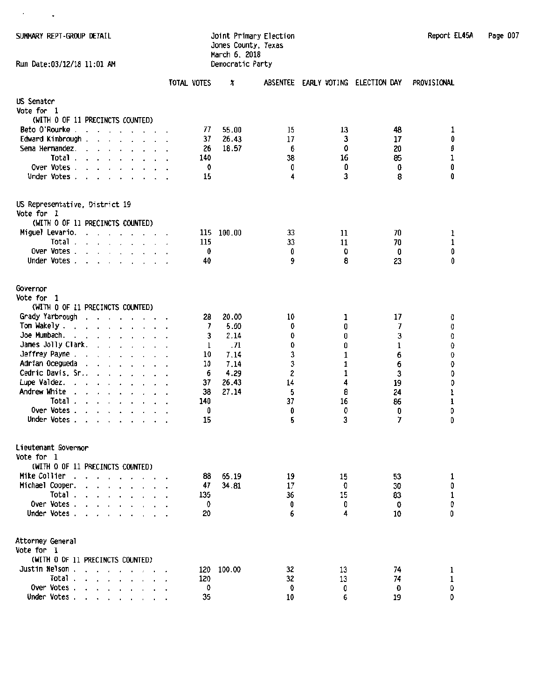$\epsilon = 1/2$ 

#### SUHHARY REPT -GROUP IETAIL Joint Primary Election Report EL45A Page 007 Jones County, Texas March 6, 2018 Run Date:03/12/18 11:01 AM Democratic Party

| Report EL45A | Page 007 |  |
|--------------|----------|--|
|--------------|----------|--|

|                                                                                                                                                                                      | TOTAL VOTES | x              |          | ABSENTEE EARLY VOTING ELECTION DAY |          | PROVISIONAL          |
|--------------------------------------------------------------------------------------------------------------------------------------------------------------------------------------|-------------|----------------|----------|------------------------------------|----------|----------------------|
| US Senator<br>Vote for 1                                                                                                                                                             |             |                |          |                                    |          |                      |
| (WITH 0 OF 11 PRECINCTS COUNTED)<br>Beto O'Rourke                                                                                                                                    |             |                |          |                                    |          |                      |
| the contract of the contract of<br>Edward Kimbrough.                                                                                                                                 | 77<br>37    | 55.00<br>26.43 | 15<br>17 | 13<br>3                            | 48<br>17 | 1<br>0               |
| <b>Contract Contract Contract Contract</b><br>Sema Hernandez.                                                                                                                        | 26          | 18.57          | 6        | 0                                  | 20       | 0                    |
| Total.<br>$\mathbf{r}$ , $\mathbf{r}$ , $\mathbf{r}$ , $\mathbf{r}$ , $\mathbf{r}$                                                                                                   | 140         |                | 38       | 16                                 | 85       | 1                    |
| Over Votes.<br>$\sim$<br>$\cdot$ $\cdot$ $\cdot$ $\cdot$ $\cdot$                                                                                                                     | 0           |                | 0        | 0                                  | 0        | 0                    |
| Under Votes.<br>the contract of the contract of                                                                                                                                      | 15          |                | 4        | 3                                  | 8        | 0                    |
| US Representative, District 19<br>Vote for 1                                                                                                                                         |             |                |          |                                    |          |                      |
| (WITH 0 OF 11 PRECINCTS COUNTED)                                                                                                                                                     |             |                |          |                                    |          |                      |
| Miguel Levario.<br>the contract of the contract of the<br>$\ddot{\phantom{0}}$                                                                                                       | 115         | 100.00         | 33       | 11                                 | 70       | 1                    |
| Total.<br>$\mathbf{r}$ and $\mathbf{r}$ and $\mathbf{r}$ and $\mathbf{r}$ and $\mathbf{r}$                                                                                           | 115         |                | 33       | 11                                 | 70       | 1                    |
| Over Votes                                                                                                                                                                           | 0           |                | 0        | 0                                  | 0        | 0                    |
| Under Votes                                                                                                                                                                          | 40          |                | 9        | 8                                  | 23       | 0                    |
| Governor                                                                                                                                                                             |             |                |          |                                    |          |                      |
| Vote for<br>-1                                                                                                                                                                       |             |                |          |                                    |          |                      |
| (WITH 0 OF 11 PRECINCTS COUNTED)                                                                                                                                                     |             |                |          |                                    |          |                      |
| Grady Yarbrough<br>$\begin{array}{cccccccccccccc} \bullet & \bullet & \bullet & \bullet & \bullet & \bullet & \bullet & \bullet & \bullet & \bullet & \bullet & \bullet \end{array}$ | 28          | 20.00          | 10       | 1                                  | 17       | O                    |
| Tom Wakely.<br>the contract of the contract of                                                                                                                                       | 7           | 5.00           | 0        | 0                                  | 7        | 0                    |
| Joe Mumbach.<br>the contract of the contract of the contract of the contract of the contract of the contract of the contract of                                                      | 3           | 2.14           | 0        | 0                                  | 3        | 0                    |
| James Jolly Clark.<br>$\cdot$ $\cdot$ $\cdot$ $\cdot$ $\cdot$ $\cdot$ $\cdot$                                                                                                        | 1           | .71            | 0        | O                                  | 1        | 0                    |
| Jeffrey Payne .<br>the contract of the contract of the                                                                                                                               | 10          | 7.14           | 3        | 1                                  | 6        | 0                    |
| Adrian Ocegueda<br>and a series of the con-                                                                                                                                          | 10          | 7.14           | 3        | 1                                  | 6        | 0                    |
| Cedric Davis, Sr.,                                                                                                                                                                   | 6           | 4.29           | 2        | 1                                  | 3        | 0                    |
| Lupe Valdez.                                                                                                                                                                         | 37          | 26.43          | 14       | 4                                  | 19       | 0                    |
| Andrew White<br>$\mathbf{r}$ and $\mathbf{r}$ and $\mathbf{r}$ and $\mathbf{r}$ and $\mathbf{r}$<br>$\ddot{\phantom{1}}$                                                             | 38          | 27.14          | 5        | 8                                  | 24       | $\pmb{\mathfrak{z}}$ |
| Total.<br>$\mathbf{r}$ , and $\mathbf{r}$ , and $\mathbf{r}$ , and $\mathbf{r}$                                                                                                      | 140         |                | 37       | 16                                 | 86       | 1                    |
| Over Votes<br>Under Votes<br>$\mathbf{r}$                                                                                                                                            | 0<br>15     |                | O<br>5   | 0<br>3                             | 0<br>7   | 0<br>0               |
|                                                                                                                                                                                      |             |                |          |                                    |          |                      |
| Lieutenant Governor<br>Vote for<br>- 1                                                                                                                                               |             |                |          |                                    |          |                      |
| (WITH 0 OF 11 PRECINCTS COUNTED)                                                                                                                                                     |             |                |          |                                    |          |                      |
| Mike Collier                                                                                                                                                                         | 88          | 65.19          | 19       | 15                                 | 53       | 1                    |
| Michael Cooper.                                                                                                                                                                      | 47          | 34.81          | 17       | O                                  | 30       | 0                    |
| Total                                                                                                                                                                                | 135         |                | 36       | 15                                 | 83       | 1                    |
| Over Votes                                                                                                                                                                           | 0           |                | 0        | 0                                  | 0        | 0                    |
| Under Votes                                                                                                                                                                          | 20          |                | 6        | 4                                  | 10       | 0                    |
| Attorney General<br><b>Vote for  1</b>                                                                                                                                               |             |                |          |                                    |          |                      |
| (WITH 0 OF 11 PRECINCTS COUNTED)                                                                                                                                                     |             |                |          |                                    |          |                      |
| Justin Nelson                                                                                                                                                                        | 120         | 100.00         | 32       | 13                                 | 74       | 1                    |
| Total                                                                                                                                                                                | 120         |                | 32       | 13                                 | 74       | 1                    |
| Over Votes                                                                                                                                                                           | 0           |                | 0        | 0                                  | 0        | 0                    |
| Under Votes                                                                                                                                                                          | 35          |                | 10       | 6                                  | 19       | 0                    |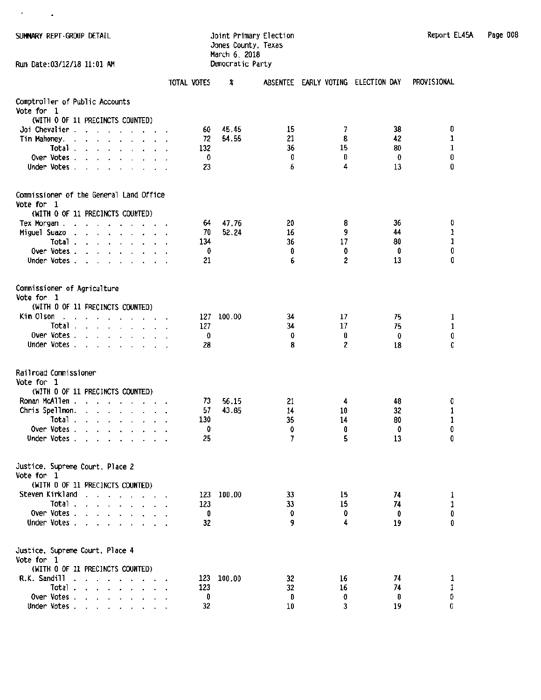$\ell = 1/2$ 

#### SUMMARY REPT-GROUP DETAIL **SUMMARY REPORT ELECTION** Jones County, Texas March 6, 2018 Run Date:03/12/18 11:01 AM Democratic Party

| Page 008<br>Report EL45A |
|--------------------------|
|--------------------------|

|                                                                                                                                                                                                                                                                                      | TOTAL VOTES | x          |        | ABSENTEE EARLY VOTING ELECTION DAY |         | PROVISIONAL      |
|--------------------------------------------------------------------------------------------------------------------------------------------------------------------------------------------------------------------------------------------------------------------------------------|-------------|------------|--------|------------------------------------|---------|------------------|
| Comptroller of Public Accounts<br>Vote for<br>- 1                                                                                                                                                                                                                                    |             |            |        |                                    |         |                  |
| (WITH 0 OF 11 PRECINCTS COUNTED)                                                                                                                                                                                                                                                     |             |            |        |                                    |         |                  |
| Joi Chevalier                                                                                                                                                                                                                                                                        | 60          | 45.45      | 15     | 7                                  | 38      | 0                |
| Tim Mahoney.<br>$\mathbf{r}$ , and a set of the set of the set of the set of the set of the set of the set of the set of the set of the set of the set of the set of the set of the set of the set of the set of the set of the set of the set of                                    | 72          | 54.55      | 21     | 8                                  | 42      | 1                |
| Total.<br>$\mathbf{r}$ . The contract of the contract of the contract of the contract of the contract of the contract of the contract of the contract of the contract of the contract of the contract of the contract of the contract of th<br>$\mathbf{r}$                          | 132         |            | 36     | 15                                 | 80      | $\mathbf 1$<br>0 |
| Over Votes.<br>$\mathbf{a}$ , $\mathbf{a}$ , $\mathbf{a}$ , $\mathbf{a}$                                                                                                                                                                                                             | 0           |            | 0<br>6 | 0<br>4                             | 0<br>13 | 0                |
| Under Votes                                                                                                                                                                                                                                                                          | 23          |            |        |                                    |         |                  |
| Commissioner of the General Land Office<br>Vote for 1                                                                                                                                                                                                                                |             |            |        |                                    |         |                  |
| (WITH 0 OF 11 PRECINCTS COUNTED)                                                                                                                                                                                                                                                     |             |            |        |                                    |         |                  |
| Tex Morgan.<br>$\mathbf{r}$ . The set of the set of the set of the set of the set of the set of the set of the set of the set of the set of the set of the set of the set of the set of the set of the set of the set of the set of the set of t<br>$\ddot{\phantom{1}}$             | 64          | 47.76      | 20     | 8                                  | 36      | 0                |
| Miguel Suazo<br>$\cdot$<br>$\ddot{\phantom{0}}$<br>$\mathbf{r}$ . The contract of the contract of the contract of the contract of the contract of the contract of the contract of the contract of the contract of the contract of the contract of the contract of the contract of th | 70          | 52.24      | 16     | 9                                  | 44      | 1                |
| Total                                                                                                                                                                                                                                                                                | 134         |            | 36     | 17                                 | 80      | 1                |
| Over Votes.<br>and a state                                                                                                                                                                                                                                                           | 0           |            | 0      | 0                                  | 0       | 0                |
| Under Votes                                                                                                                                                                                                                                                                          | 21          |            | 6      | 2                                  | 13      | 0                |
| Commissioner of Agriculture<br>Vote for 1                                                                                                                                                                                                                                            |             |            |        |                                    |         |                  |
| (WITH 0 OF 11 PRECINCTS COUNTED)                                                                                                                                                                                                                                                     |             |            |        |                                    |         |                  |
| Kim Olson<br>$\mathbf{r}$ , and $\mathbf{r}$ , and $\mathbf{r}$ , and $\mathbf{r}$<br>$\sim$<br>$\ddot{\phantom{1}}$                                                                                                                                                                 | 127         | 100.00     | 34     | 17                                 | 75      | 1                |
| Total                                                                                                                                                                                                                                                                                | 127         |            | 34     | 17                                 | 75      | 1                |
| Over Votes.<br>the contract of the contract of the contract of the contract of the contract of the contract of the contract of                                                                                                                                                       | 0           |            | 0      | 0                                  | 0       | 0                |
| Under Votes $\cdots$ $\cdots$ $\cdots$                                                                                                                                                                                                                                               | 28          |            | 8      | 2                                  | 18      | 0                |
| Railroad Commissioner<br>Vote for<br>- 1                                                                                                                                                                                                                                             |             |            |        |                                    |         |                  |
| (WITH 0 OF 11 PRECINCTS COUNTED)                                                                                                                                                                                                                                                     |             |            |        |                                    |         |                  |
| Roman McAllen                                                                                                                                                                                                                                                                        | 73          | 56.15      | 21     | 4                                  | 48      | 0                |
| Chris Spellmon.<br>the company of the company of                                                                                                                                                                                                                                     | 57          | 43.85      | 14     | 10                                 | 32      | 1                |
| Total, $\ldots$ , $\ldots$ , $\ldots$                                                                                                                                                                                                                                                | 130         |            | 35     | 14                                 | 80      | 1                |
| Over Votes, $\ldots$ , $\ldots$ , $\ldots$                                                                                                                                                                                                                                           | 0           |            | 0<br>7 | 0<br>5                             | 0<br>13 | 0<br>0           |
| Under Votes                                                                                                                                                                                                                                                                          | 25          |            |        |                                    |         |                  |
| Justice, Supreme Court, Place 2<br>Vote for 1                                                                                                                                                                                                                                        |             |            |        |                                    |         |                  |
| (WITH 0 OF 11 PRECINCTS COUNTED)                                                                                                                                                                                                                                                     |             |            |        |                                    |         |                  |
| Steven Kirkland                                                                                                                                                                                                                                                                      |             | 123 100.00 | 33     | 15                                 | 74      | 1                |
| Total                                                                                                                                                                                                                                                                                | 123         |            | 33     | 15                                 | 74      | $\mathbf 1$      |
| Over Votes.                                                                                                                                                                                                                                                                          | 0           |            | û      | 0                                  | 0       | 0                |
| Under Votes                                                                                                                                                                                                                                                                          | 32          |            | 9      | 4                                  | 19      | 0                |
| Justice, Supreme Court, Place 4<br>Vote for 1                                                                                                                                                                                                                                        |             |            |        |                                    |         |                  |
| (WITH 0 OF 11 PRECINCTS COUNTED)                                                                                                                                                                                                                                                     |             |            |        |                                    |         |                  |
| R.K. Sandill                                                                                                                                                                                                                                                                         | 123         | 100.00     | 32     | 16                                 | 74      | 1                |
| Total $\ldots$ $\ldots$ $\ldots$ $\ldots$                                                                                                                                                                                                                                            | 123         |            | 32     | 16                                 | 74      | 1                |
| Over Votes                                                                                                                                                                                                                                                                           | 0           |            | 0      | 0<br>3                             | 0       | D<br>0           |
| Under Votes.                                                                                                                                                                                                                                                                         | 32          |            | 10     |                                    | 19      |                  |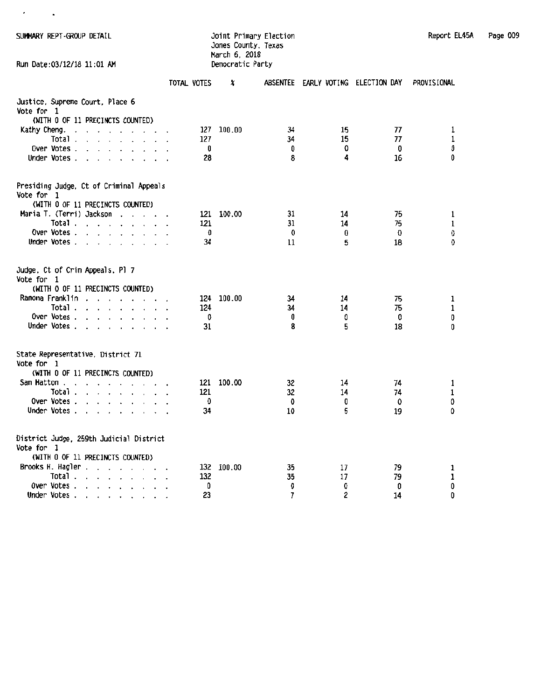$\lambda_{\rm{max}}$ 

#### SUI+1ARY REPT -<:ROUP DETAIL Joint Primary Election Report EL45A Page 009 Jones County, Texas March 6, 2018 Run Date:03/12/18 11:01 AM Democratic Party

| Report EL45A | Page 009 |  |
|--------------|----------|--|
|--------------|----------|--|

|                                                                                                                                                                                                                                                         | TOTAL VOTES | X      | <b>ABSENTEE</b> | EARLY VOTING ELECTION DAY |         | PROVISIONAL |
|---------------------------------------------------------------------------------------------------------------------------------------------------------------------------------------------------------------------------------------------------------|-------------|--------|-----------------|---------------------------|---------|-------------|
| Justice, Supreme Court, Place 6                                                                                                                                                                                                                         |             |        |                 |                           |         |             |
| Vote for 1                                                                                                                                                                                                                                              |             |        |                 |                           |         |             |
| (WITH 0 OF 11 PRECINCTS COUNTED)                                                                                                                                                                                                                        |             |        |                 |                           |         |             |
| Kathy Cheng.<br>and a series of the series of<br>$\ddot{\phantom{a}}$                                                                                                                                                                                   | 127         | 100.00 | 34              | 15                        | 77      | 1           |
| Total .<br>$\mathbf{v} = \mathbf{v} - \mathbf{v}$ . The contract of the contract of the contract of the contract of the contract of the contract of the contract of the contract of the contract of the contract of the contract of the contract of the | 127         |        | 34              | 15                        | 77      | $\mathbf 1$ |
| Over Votes.<br>$\cdot$ $\cdot$ $\cdot$ $\cdot$ $\cdot$ $\cdot$ $\cdot$<br>Under Votes.<br>$\cdot$ $\cdot$ $\cdot$ $\cdot$ $\cdot$                                                                                                                       | 0<br>28     |        | 0<br>8          | 0<br>4                    | 0<br>16 | 0<br>0      |
| $\ddot{\phantom{a}}$                                                                                                                                                                                                                                    |             |        |                 |                           |         |             |
| Presiding Judge, Ct of Criminal Appeals<br>Vote for 1                                                                                                                                                                                                   |             |        |                 |                           |         |             |
| (WITH 0 OF 11 PRECINCTS COUNTED)                                                                                                                                                                                                                        |             |        |                 |                           |         |             |
| Maria T. (Terri) Jackson<br>and the state of the state of                                                                                                                                                                                               | 121         | 100.00 | 31              | 14                        | 75      | 1           |
| Total                                                                                                                                                                                                                                                   | 121         |        | 31              | 14                        | 75      | $\mathbf 1$ |
| Over Votes.<br>$\mathbf{r}$ , $\mathbf{r}$ , $\mathbf{r}$ , $\mathbf{r}$                                                                                                                                                                                | O           |        | 0               | 0                         | 0       | 0           |
| Under Votes                                                                                                                                                                                                                                             | 34          |        | 11              | 5                         | 18      | 0           |
| Judge, Ct of Crim Appeals, Pl 7<br>Vote for 1<br>(WITH 0 OF 11 PRECINCTS COUNTED)                                                                                                                                                                       |             |        |                 |                           |         |             |
| Ramona Franklin.<br>the contract of the contract of the contract of the contract of the contract of the contract of the contract of                                                                                                                     | 124         | 100.00 | 34              | 14                        | 75      | 1           |
| Total $\ldots$ $\ldots$ $\ldots$                                                                                                                                                                                                                        | 124         |        | 34              | 14                        | 75      | $\mathbf 1$ |
| Over Votes                                                                                                                                                                                                                                              | 0           |        | 0               | 0                         | 0       | 0           |
| Under Votes                                                                                                                                                                                                                                             | 31          |        | 8               | 5                         | 18      | 0           |
| State Representative, District 71<br>Vote for 1                                                                                                                                                                                                         |             |        |                 |                           |         |             |
| (WITH 0 OF 11 PRECINCTS COUNTED)                                                                                                                                                                                                                        |             |        |                 |                           |         |             |
| Sam Hatton.<br>the contract of the contract of the contract of the contract of the contract of the contract of the contract of                                                                                                                          | 121         | 100.00 | 32              | 14                        | 74      | 1           |
| Total.<br>$\mathbf{r}$ , $\mathbf{r}$ , $\mathbf{r}$ , $\mathbf{r}$ , $\mathbf{r}$ , $\mathbf{r}$                                                                                                                                                       | 121         |        | 32              | 14                        | 74      | 1           |
| Over Votes.<br>$\mathbf{r}$ , $\mathbf{r}$ , $\mathbf{r}$ , $\mathbf{r}$ , $\mathbf{r}$                                                                                                                                                                 | 0           |        | 0               | 0                         | 0       | 0           |
| Under Votes.                                                                                                                                                                                                                                            | 34          |        | 10              | 5                         | 19      | 0           |
| District Judge, 259th Judicial District<br>Vote for 1<br>(WITH 0 OF 11 PRECINCTS COUNTED)                                                                                                                                                               |             |        |                 |                           |         |             |
| Brooks H. Hagler.<br>the company of the company                                                                                                                                                                                                         | 132         | 100.00 | 35              | 17                        | 79      | 1           |
| Total.<br>$\cdot$ $\cdot$ $\cdot$ $\cdot$ $\cdot$                                                                                                                                                                                                       | 132         |        | 35              | 17                        | 79      | 1           |
| Over Votes.<br>$\alpha$ , $\alpha$ , $\alpha$ , $\alpha$<br>$\ddot{\phantom{0}}$                                                                                                                                                                        | 0           |        | 0               | 0                         | 0       | 0           |
| Under Votes                                                                                                                                                                                                                                             | 23          |        | 7               | 2                         | 14      | 0           |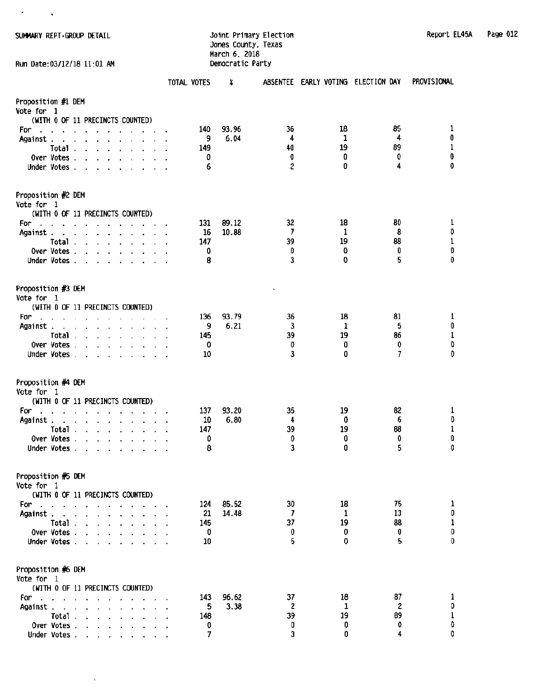$\sim$ 

 $\sigma_{\rm{max}}=1$ 

SUMMARY REPT-GROUP DETAIL **SUMMARY REPT-GROUP DETAIL** Report Association of the United States of the Report Election Jones County, Texas March 6, 2018 Run Date:03/12/18 11:01 AM Democratic Party

| Report EL45A | Page 012 |  |
|--------------|----------|--|
|--------------|----------|--|

|                                         |                                                                                                                                                                                                                                                                                                                                                                                                                                                                  | TOTAL VOTES | x     |         | ABSENTEE EARLY VOTING ELECTION DAY |          | PROVISIONAL |
|-----------------------------------------|------------------------------------------------------------------------------------------------------------------------------------------------------------------------------------------------------------------------------------------------------------------------------------------------------------------------------------------------------------------------------------------------------------------------------------------------------------------|-------------|-------|---------|------------------------------------|----------|-------------|
| Proposition #1 DEM<br><b>Vote for 1</b> | (WITH 0 OF 11 PRECINCTS COUNTED)                                                                                                                                                                                                                                                                                                                                                                                                                                 |             |       |         |                                    |          |             |
| For<br>$\mathcal{L}_{\mathbf{a}}$       | the contract of the contract of the                                                                                                                                                                                                                                                                                                                                                                                                                              | 140         | 93.96 | 36      | 18                                 | 85       | 1           |
| Against.                                | the contract of the contract of the con-                                                                                                                                                                                                                                                                                                                                                                                                                         | 9           | 6.04  | 4       | 1                                  | 4        | 0           |
|                                         | Total                                                                                                                                                                                                                                                                                                                                                                                                                                                            | 149         |       | 40      | 19                                 | 89       | 1           |
|                                         | Over Votes $\cdots$ $\cdots$ $\cdots$                                                                                                                                                                                                                                                                                                                                                                                                                            | 0           |       | O       | 0                                  | 0        | 0           |
|                                         | Under Votes, , , , , , , , ,                                                                                                                                                                                                                                                                                                                                                                                                                                     | 6           |       | 2       | 0                                  | 4        | 0           |
| Proposition #2 DEM<br>Vote for 1        |                                                                                                                                                                                                                                                                                                                                                                                                                                                                  |             |       |         |                                    |          |             |
|                                         | (WITH 0 OF 11 PRECINCTS COUNTED)                                                                                                                                                                                                                                                                                                                                                                                                                                 |             |       |         |                                    |          |             |
| For:                                    | والمناور والمستنقل والمناور والمناور والمناور                                                                                                                                                                                                                                                                                                                                                                                                                    | 131         | 89.12 | 32      | 18                                 | 80       | 1           |
| Against.                                | the contract of the contract of the contract of the contract of the contract of the contract of the contract of                                                                                                                                                                                                                                                                                                                                                  | 16          | 10.88 | 7       | 1<br>19                            | 8<br>88  | 0<br>1      |
|                                         | Total                                                                                                                                                                                                                                                                                                                                                                                                                                                            | 147<br>0    |       | 39<br>0 | 0                                  | 0        | 0           |
|                                         | Over Votes<br>Under Votes                                                                                                                                                                                                                                                                                                                                                                                                                                        | 8           |       | 3       | 0                                  | 5        | 0           |
|                                         |                                                                                                                                                                                                                                                                                                                                                                                                                                                                  |             |       |         |                                    |          |             |
| Proposition #3 DEM<br>Vote for 1        |                                                                                                                                                                                                                                                                                                                                                                                                                                                                  |             |       | ć,      |                                    |          |             |
|                                         | (WETH 0 OF 11 PRECINCTS COUNTED)                                                                                                                                                                                                                                                                                                                                                                                                                                 |             |       |         |                                    |          |             |
| For                                     | and the contract of the contract of                                                                                                                                                                                                                                                                                                                                                                                                                              | 136         | 93.79 | 36      | 18                                 | 81       | 1           |
| Against.                                | and a series of the companies of                                                                                                                                                                                                                                                                                                                                                                                                                                 | 9           | 6.21  | 3       | 1                                  | 5        | 0           |
|                                         | Total                                                                                                                                                                                                                                                                                                                                                                                                                                                            | 145         |       | 39      | 19                                 | 86       | 1           |
|                                         | Over Votes                                                                                                                                                                                                                                                                                                                                                                                                                                                       | 0           |       | 0       | 0                                  | 0        | 0           |
|                                         | Under Votes,                                                                                                                                                                                                                                                                                                                                                                                                                                                     | 10          |       | 3       | 0                                  | 7        | 0           |
| Proposition #4 DEM                      |                                                                                                                                                                                                                                                                                                                                                                                                                                                                  |             |       |         |                                    |          |             |
| Vote for 1                              |                                                                                                                                                                                                                                                                                                                                                                                                                                                                  |             |       |         |                                    |          |             |
|                                         | (WITH 0 OF 11 PRECINCTS COUNTED)                                                                                                                                                                                                                                                                                                                                                                                                                                 | 137         | 93.20 | 35      | 19                                 | 82       |             |
| For<br>÷.<br>Against.                   | and the contract of the contract of the contract of the contract of the contract of the contract of the contract of the contract of the contract of the contract of the contract of the contract of the contract of the contra<br>and the company of the company of the company of the company of the company of the company of the company of the company of the company of the company of the company of the company of the company of the company of the comp | 10          | 6.80  | 4       | 0                                  | 6        | 1<br>0      |
|                                         | Total $\ldots$ $\ldots$ $\ldots$ $\ldots$                                                                                                                                                                                                                                                                                                                                                                                                                        | 147         |       | 39      | 19                                 | 88       | 1           |
| Over Votes.                             | and the contract of the contract of the contract of the contract of the contract of the contract of the contract of the contract of the contract of the contract of the contract of the contract of the contract of the contra                                                                                                                                                                                                                                   | O           |       | 0       | 0                                  | 0        | 0           |
|                                         | Under Votes                                                                                                                                                                                                                                                                                                                                                                                                                                                      | 8           |       | 3       | 0                                  | 5        | 0           |
| Proposition #5 DEM                      |                                                                                                                                                                                                                                                                                                                                                                                                                                                                  |             |       |         |                                    |          |             |
| Vote for 1                              |                                                                                                                                                                                                                                                                                                                                                                                                                                                                  |             |       |         |                                    |          |             |
|                                         | (WITH 0 OF 11 PRECINCTS COUNTED)                                                                                                                                                                                                                                                                                                                                                                                                                                 |             |       |         |                                    |          |             |
| For:<br>$\sim$                          | the company of the company of the<br>$\bullet$ .                                                                                                                                                                                                                                                                                                                                                                                                                 | 124         | 85.52 | 30      | 18                                 | 75       | 1<br>0      |
| Against.<br>$\sim$ $\sim$               | and the state of the state of the                                                                                                                                                                                                                                                                                                                                                                                                                                | 21          | 14.48 | 7<br>37 | 1<br>19                            | 13<br>88 | 1           |
| Total.<br>Over Votes.                   | $\mathbf{r} = \mathbf{r} + \mathbf{r} + \mathbf{r} + \mathbf{r} + \mathbf{r} + \mathbf{r} + \mathbf{r}$                                                                                                                                                                                                                                                                                                                                                          | 145<br>0    |       | 0       | 0                                  | 0        | 0           |
| Under Votes.                            | the contract of the contract of<br><b>Contract Contract</b>                                                                                                                                                                                                                                                                                                                                                                                                      | 10          |       | 5       | 0                                  | 5        | 0           |
|                                         |                                                                                                                                                                                                                                                                                                                                                                                                                                                                  |             |       |         |                                    |          |             |
| Proposition #6 DEM<br>Vote for 1        |                                                                                                                                                                                                                                                                                                                                                                                                                                                                  |             |       |         |                                    |          |             |
|                                         | (WITH 0 OF 11 PRECINCTS COUNTED)                                                                                                                                                                                                                                                                                                                                                                                                                                 |             |       |         |                                    |          |             |
| For:                                    | and the contract of the contract of                                                                                                                                                                                                                                                                                                                                                                                                                              | 143         | 96.62 | 37      | 18                                 | 87       | 1           |
| Against .                               | the contract of the contract of the contract of                                                                                                                                                                                                                                                                                                                                                                                                                  | 5           | 3.38  | 2       | 1                                  | 2        | O           |
|                                         | Total $\cdots$ $\cdots$ $\cdots$                                                                                                                                                                                                                                                                                                                                                                                                                                 | 148         |       | 39      | 19                                 | 89       | 1           |
|                                         | Over Votes.                                                                                                                                                                                                                                                                                                                                                                                                                                                      | 0           |       | 0       | 0                                  | 0        | 0           |
|                                         | Under Votes                                                                                                                                                                                                                                                                                                                                                                                                                                                      | 7           |       | 3       | 0                                  | 4        | 0           |